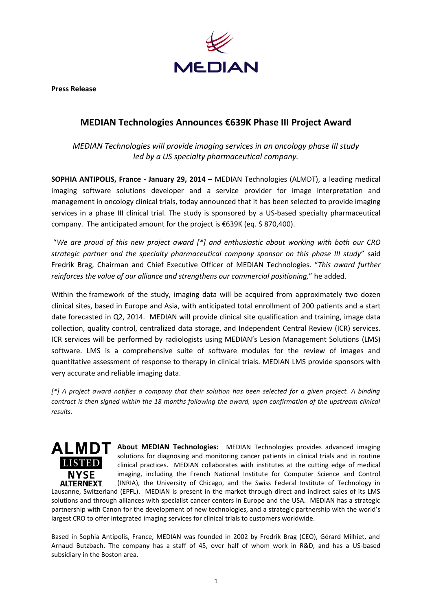

**Press Release**

## **MEDIAN Technologies Announces €639K Phase III Project Award**

*MEDIAN Technologies will provide imaging services in an oncology phase III study led by a US specialty pharmaceutical company.*

**SOPHIA ANTIPOLIS, France - January 29, 2014 –** MEDIAN Technologies (ALMDT), a leading medical imaging software solutions developer and a service provider for image interpretation and management in oncology clinical trials, today announced that it has been selected to provide imaging services in a phase III clinical trial. The study is sponsored by a US-based specialty pharmaceutical company. The anticipated amount for the project is €639K (eq. \$ 870,400).

"*We are proud of this new project award [\*] and enthusiastic about working with both our CRO strategic partner and the specialty pharmaceutical company sponsor on this phase III study*" said Fredrik Brag, Chairman and Chief Executive Officer of MEDIAN Technologies. "*This award further reinforces the value of our alliance and strengthens our commercial positioning,*" he added.

Within the framework of the study, imaging data will be acquired from approximately two dozen clinical sites, based in Europe and Asia, with anticipated total enrollment of 200 patients and a start date forecasted in Q2, 2014. MEDIAN will provide clinical site qualification and training, image data collection, quality control, centralized data storage, and Independent Central Review (ICR) services. ICR services will be performed by radiologists using MEDIAN's Lesion Management Solutions (LMS) software. LMS is a comprehensive suite of software modules for the review of images and quantitative assessment of response to therapy in clinical trials. MEDIAN LMS provide sponsors with very accurate and reliable imaging data.

*[\*] A project award notifies a company that their solution has been selected for a given project. A binding contract is then signed within the 18 months following the award, upon confirmation of the upstream clinical results.*



**ALMDT** About MEDIAN Technologies: MEDIAN Technologies provides advanced imaging solutions for diagnosing and monitoring cancer patients in clinical trials and in routine clinical practices. MEDIAN collaborates with institutes at the cutting edge of medical imaging, including the French National Institute for Computer Science and Control (INRIA), the University of Chicago, and the Swiss Federal Institute of Technology in

Lausanne, Switzerland (EPFL). MEDIAN is present in the market through direct and indirect sales of its LMS solutions and through alliances with specialist cancer centers in Europe and the USA. MEDIAN has a strategic partnership with Canon for the development of new technologies, and a strategic partnership with the world's largest CRO to offer integrated imaging services for clinical trials to customers worldwide.

Based in Sophia Antipolis, France, MEDIAN was founded in 2002 by Fredrik Brag (CEO), Gérard Milhiet, and Arnaud Butzbach. The company has a staff of 45, over half of whom work in R&D, and has a US-based subsidiary in the Boston area.